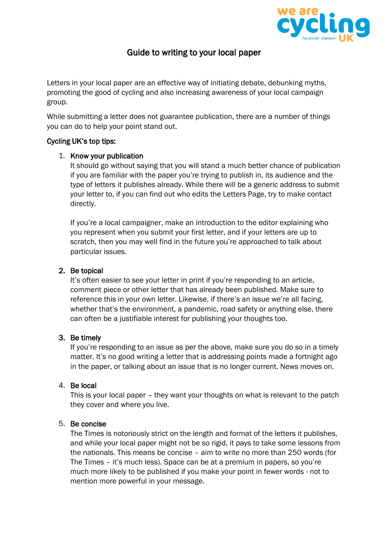

# Guide to writing to your local paper

Letters in your local paper are an effective way of initiating debate, debunking myths, promoting the good of cycling and also increasing awareness of your local campaign group.

While submitting a letter does not guarantee publication, there are a number of things you can do to help your point stand out.

#### Cycling UK's top tips:

#### 1. Know your publication

It should go without saying that you will stand a much better chance of publication if you are familiar with the paper you're trying to publish in, its audience and the type of letters it publishes already. While there will be a generic address to submit your letter to, if you can find out who edits the Letters Page, try to make contact directly.

If you're a local campaigner, make an introduction to the editor explaining who you represent when you submit your first letter, and if your letters are up to scratch, then you may well find in the future you're approached to talk about particular issues.

## 2. Be topical

It's often easier to see your letter in print if you're responding to an article, comment piece or other letter that has already been published. Make sure to reference this in your own letter. Likewise, if there's an issue we're all facing, whether that's the environment, a pandemic, road safety or anything else, there can often be a justifiable interest for publishing your thoughts too.

#### 3. Be timely

If you're responding to an issue as per the above, make sure you do so in a timely matter. It's no good writing a letter that is addressing points made a fortnight ago in the paper, or talking about an issue that is no longer current. News moves on.

#### 4. Be local

This is your local paper – they want your thoughts on what is relevant to the patch they cover and where you live.

#### 5. Be concise

The Times is notoriously strict on the length and format of the letters it publishes, and while your local paper might not be so rigid, it pays to take some lessons from the nationals. This means be concise – aim to write no more than 250 words (for The Times – it's much less). Space can be at a premium in papers, so you're much more likely to be published if you make your point in fewer words - not to mention more powerful in your message.